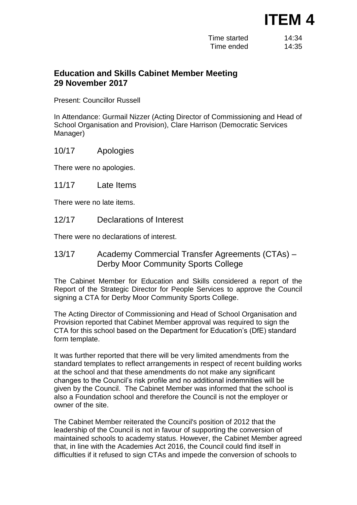## **ITEM 4**

| Time started | 14:34 |
|--------------|-------|
| Time ended   | 14:35 |

## **Education and Skills Cabinet Member Meeting 29 November 2017**

Present: Councillor Russell

In Attendance: Gurmail Nizzer (Acting Director of Commissioning and Head of School Organisation and Provision), Clare Harrison (Democratic Services Manager)

10/17 Apologies

There were no apologies.

11/17 Late Items

There were no late items.

12/17 Declarations of Interest

There were no declarations of interest.

13/17 Academy Commercial Transfer Agreements (CTAs) – Derby Moor Community Sports College

The Cabinet Member for Education and Skills considered a report of the Report of the Strategic Director for People Services to approve the Council signing a CTA for Derby Moor Community Sports College.

The Acting Director of Commissioning and Head of School Organisation and Provision reported that Cabinet Member approval was required to sign the CTA for this school based on the Department for Education's (DfE) standard form template.

It was further reported that there will be very limited amendments from the standard templates to reflect arrangements in respect of recent building works at the school and that these amendments do not make any significant changes to the Council's risk profile and no additional indemnities will be given by the Council. The Cabinet Member was informed that the school is also a Foundation school and therefore the Council is not the employer or owner of the site.

The Cabinet Member reiterated the Council's position of 2012 that the leadership of the Council is not in favour of supporting the conversion of maintained schools to academy status. However, the Cabinet Member agreed that, in line with the Academies Act 2016, the Council could find itself in difficulties if it refused to sign CTAs and impede the conversion of schools to